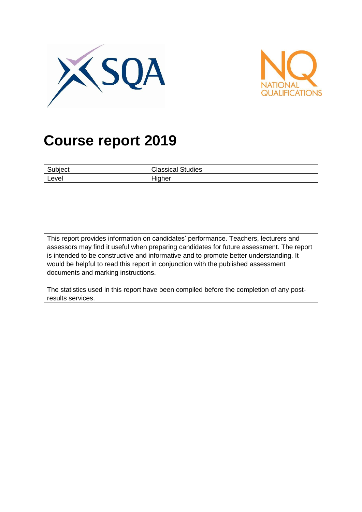



# **Course report 2019**

| $\sim$  | Classical |
|---------|-----------|
| Subject | l Studies |
| Level   | Higher    |

This report provides information on candidates' performance. Teachers, lecturers and assessors may find it useful when preparing candidates for future assessment. The report is intended to be constructive and informative and to promote better understanding. It would be helpful to read this report in conjunction with the published assessment documents and marking instructions.

The statistics used in this report have been compiled before the completion of any postresults services.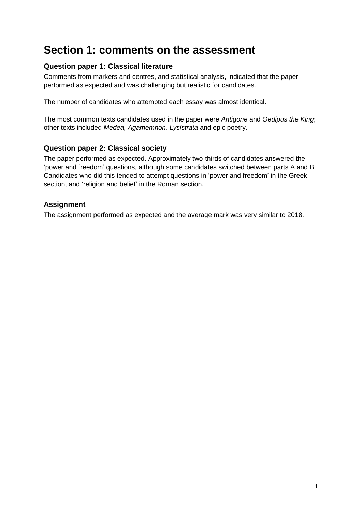## **Section 1: comments on the assessment**

## **Question paper 1: Classical literature**

Comments from markers and centres, and statistical analysis, indicated that the paper performed as expected and was challenging but realistic for candidates.

The number of candidates who attempted each essay was almost identical.

The most common texts candidates used in the paper were *Antigone* and *Oedipus the King*; other texts included *Medea, Agamemnon, Lysistrata* and epic poetry.

## **Question paper 2: Classical society**

The paper performed as expected. Approximately two-thirds of candidates answered the 'power and freedom' questions, although some candidates switched between parts A and B. Candidates who did this tended to attempt questions in 'power and freedom' in the Greek section, and 'religion and belief' in the Roman section.

## **Assignment**

The assignment performed as expected and the average mark was very similar to 2018.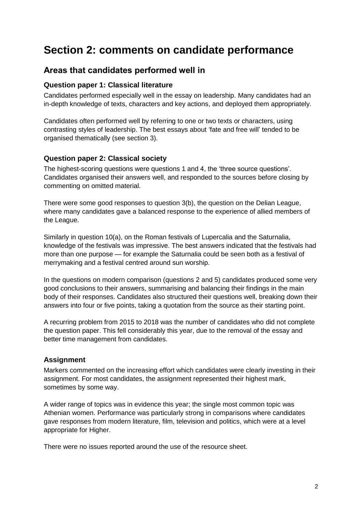## **Section 2: comments on candidate performance**

## **Areas that candidates performed well in**

#### **Question paper 1: Classical literature**

Candidates performed especially well in the essay on leadership. Many candidates had an in-depth knowledge of texts, characters and key actions, and deployed them appropriately.

Candidates often performed well by referring to one or two texts or characters, using contrasting styles of leadership. The best essays about 'fate and free will' tended to be organised thematically (see section 3).

### **Question paper 2: Classical society**

The highest-scoring questions were questions 1 and 4, the 'three source questions'. Candidates organised their answers well, and responded to the sources before closing by commenting on omitted material.

There were some good responses to question 3(b), the question on the Delian League, where many candidates gave a balanced response to the experience of allied members of the League.

Similarly in question 10(a), on the Roman festivals of Lupercalia and the Saturnalia, knowledge of the festivals was impressive. The best answers indicated that the festivals had more than one purpose — for example the Saturnalia could be seen both as a festival of merrymaking and a festival centred around sun worship.

In the questions on modern comparison (questions 2 and 5) candidates produced some very good conclusions to their answers, summarising and balancing their findings in the main body of their responses. Candidates also structured their questions well, breaking down their answers into four or five points, taking a quotation from the source as their starting point.

A recurring problem from 2015 to 2018 was the number of candidates who did not complete the question paper. This fell considerably this year, due to the removal of the essay and better time management from candidates.

#### **Assignment**

Markers commented on the increasing effort which candidates were clearly investing in their assignment. For most candidates, the assignment represented their highest mark, sometimes by some way.

A wider range of topics was in evidence this year; the single most common topic was Athenian women. Performance was particularly strong in comparisons where candidates gave responses from modern literature, film, television and politics, which were at a level appropriate for Higher.

There were no issues reported around the use of the resource sheet.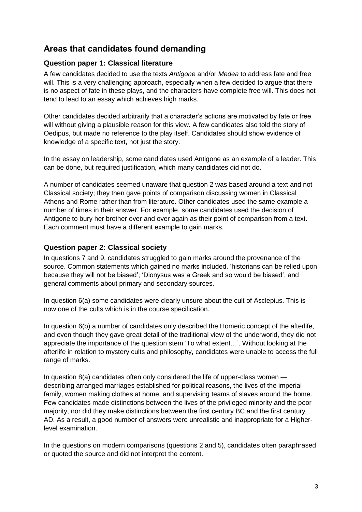## **Areas that candidates found demanding**

### **Question paper 1: Classical literature**

A few candidates decided to use the texts *Antigone* and/or *Medea* to address fate and free will. This is a very challenging approach, especially when a few decided to argue that there is no aspect of fate in these plays, and the characters have complete free will. This does not tend to lead to an essay which achieves high marks.

Other candidates decided arbitrarily that a character's actions are motivated by fate or free will without giving a plausible reason for this view. A few candidates also told the story of Oedipus, but made no reference to the play itself. Candidates should show evidence of knowledge of a specific text, not just the story.

In the essay on leadership, some candidates used Antigone as an example of a leader. This can be done, but required justification, which many candidates did not do.

A number of candidates seemed unaware that question 2 was based around a text and not Classical society; they then gave points of comparison discussing women in Classical Athens and Rome rather than from literature. Other candidates used the same example a number of times in their answer. For example, some candidates used the decision of Antigone to bury her brother over and over again as their point of comparison from a text. Each comment must have a different example to gain marks.

### **Question paper 2: Classical society**

In questions 7 and 9, candidates struggled to gain marks around the provenance of the source. Common statements which gained no marks included, 'historians can be relied upon because they will not be biased'; 'Dionysus was a Greek and so would be biased', and general comments about primary and secondary sources.

In question 6(a) some candidates were clearly unsure about the cult of Asclepius. This is now one of the cults which is in the course specification.

In question 6(b) a number of candidates only described the Homeric concept of the afterlife, and even though they gave great detail of the traditional view of the underworld, they did not appreciate the importance of the question stem 'To what extent…'. Without looking at the afterlife in relation to mystery cults and philosophy, candidates were unable to access the full range of marks.

In question 8(a) candidates often only considered the life of upper-class women describing arranged marriages established for political reasons, the lives of the imperial family, women making clothes at home, and supervising teams of slaves around the home. Few candidates made distinctions between the lives of the privileged minority and the poor majority, nor did they make distinctions between the first century BC and the first century AD. As a result, a good number of answers were unrealistic and inappropriate for a Higherlevel examination.

In the questions on modern comparisons (questions 2 and 5), candidates often paraphrased or quoted the source and did not interpret the content.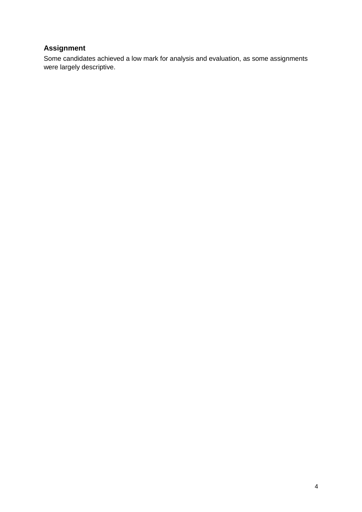## **Assignment**

Some candidates achieved a low mark for analysis and evaluation, as some assignments were largely descriptive.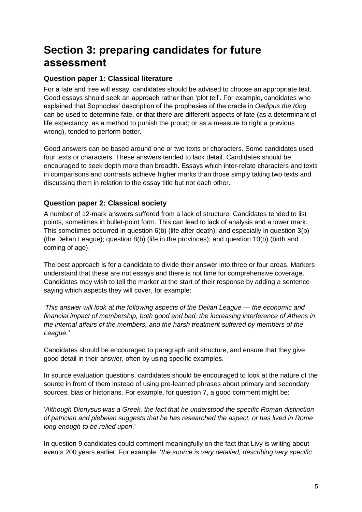## **Section 3: preparing candidates for future assessment**

## **Question paper 1: Classical literature**

For a fate and free will essay, candidates should be advised to choose an appropriate text. Good essays should seek an approach rather than 'plot tell'. For example, candidates who explained that Sophocles' description of the prophesies of the oracle in *Oedipus the King* can be used to determine fate, or that there are different aspects of fate (as a determinant of life expectancy; as a method to punish the proud; or as a measure to right a previous wrong), tended to perform better.

Good answers can be based around one or two texts or characters. Some candidates used four texts or characters. These answers tended to lack detail. Candidates should be encouraged to seek depth more than breadth. Essays which inter-relate characters and texts in comparisons and contrasts achieve higher marks than those simply taking two texts and discussing them in relation to the essay title but not each other.

## **Question paper 2: Classical society**

A number of 12-mark answers suffered from a lack of structure. Candidates tended to list points, sometimes in bullet-point form. This can lead to lack of analysis and a lower mark. This sometimes occurred in question 6(b) (life after death); and especially in question 3(b) (the Delian League); question 8(b) (life in the provinces); and question 10(b) (birth and coming of age).

The best approach is for a candidate to divide their answer into three or four areas. Markers understand that these are not essays and there is not time for comprehensive coverage. Candidates may wish to tell the marker at the start of their response by adding a sentence saying which aspects they will cover, for example:

*'This answer will look at the following aspects of the Delian League — the economic and financial impact of membership, both good and bad, the increasing interference of Athens in the internal affairs of the members, and the harsh treatment suffered by members of the League.'*

Candidates should be encouraged to paragraph and structure, and ensure that they give good detail in their answer, often by using specific examples.

In source evaluation questions, candidates should be encouraged to look at the nature of the source in front of them instead of using pre-learned phrases about primary and secondary sources, bias or historians. For example, for question 7, a good comment might be:

'*Although Dionysus was a Greek, the fact that he understood the specific Roman distinction of patrician and plebeian suggests that he has researched the aspect, or has lived in Rome long enough to be relied upon*.'

In question 9 candidates could comment meaningfully on the fact that Livy is writing about events 200 years earlier. For example, '*the source is very detailed, describing very specific*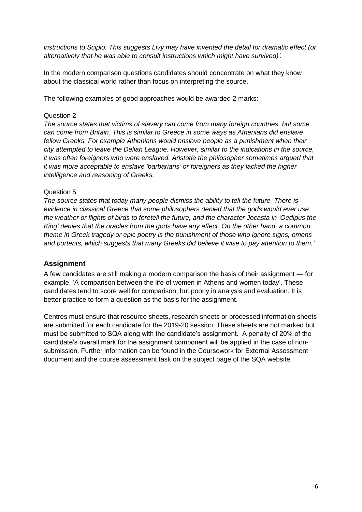*instructions to Scipio. This suggests Livy may have invented the detail for dramatic effect (or alternatively that he was able to consult instructions which might have survived)'.*

In the modern comparison questions candidates should concentrate on what they know about the classical world rather than focus on interpreting the source.

The following examples of good approaches would be awarded 2 marks:

#### Question 2

*The source states that victims of slavery can come from many foreign countries, but some can come from Britain. This is similar to Greece in some ways as Athenians did enslave*  fellow Greeks. For example Athenians would enslave people as a punishment when their *city attempted to leave the Delian League. However, similar to the indications in the source, it was often foreigners who were enslaved. Aristotle the philosopher sometimes argued that it was more acceptable to enslave 'barbarians' or foreigners as they lacked the higher intelligence and reasoning of Greeks.*

#### Question 5

*The source states that today many people dismiss the ability to tell the future. There is evidence in classical Greece that some philosophers denied that the gods would ever use the weather or flights of birds to foretell the future, and the character Jocasta in 'Oedipus the King' denies that the oracles from the gods have any effect. On the other hand, a common theme in Greek tragedy or epic poetry is the punishment of those who ignore signs, omens and portents, which suggests that many Greeks did believe it wise to pay attention to them.'*

#### **Assignment**

A few candidates are still making a modern comparison the basis of their assignment — for example, 'A comparison between the life of women in Athens and women today'. These candidates tend to score well for comparison, but poorly in analysis and evaluation. It is better practice to form a question as the basis for the assignment.

Centres must ensure that resource sheets, research sheets or processed information sheets are submitted for each candidate for the 2019-20 session. These sheets are not marked but must be submitted to SQA along with the candidate's assignment. A penalty of 20% of the candidate's overall mark for the assignment component will be applied in the case of nonsubmission. Further information can be found in the Coursework for External Assessment document and the course assessment task on the subject page of the SQA website.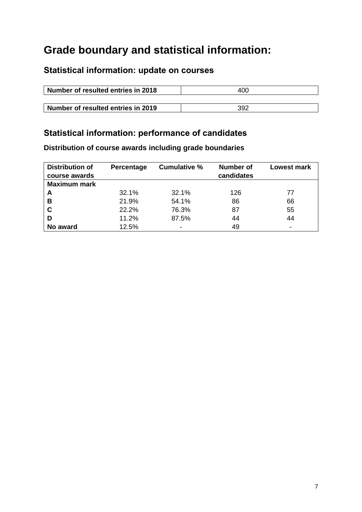## **Grade boundary and statistical information:**

## **Statistical information: update on courses**

| Number of resulted entries in 2018 | 400 |  |  |
|------------------------------------|-----|--|--|
|                                    |     |  |  |
| Number of resulted entries in 2019 | 392 |  |  |

## **Statistical information: performance of candidates**

**Distribution of course awards including grade boundaries**

| <b>Distribution of</b><br>course awards | Percentage | <b>Cumulative %</b> | Number of<br>candidates | <b>Lowest mark</b> |
|-----------------------------------------|------------|---------------------|-------------------------|--------------------|
| <b>Maximum mark</b>                     |            |                     |                         |                    |
| A                                       | 32.1%      | 32.1%               | 126                     | 77                 |
| в                                       | 21.9%      | 54.1%               | 86                      | 66                 |
| C                                       | 22.2%      | 76.3%               | 87                      | 55                 |
| D                                       | 11.2%      | 87.5%               | 44                      | 44                 |
| No award                                | 12.5%      |                     | 49                      |                    |